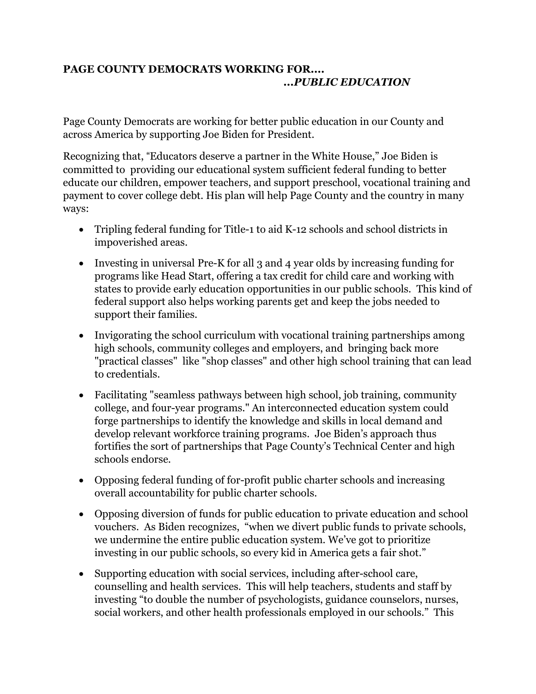## **PAGE COUNTY DEMOCRATS WORKING FOR....** *...PUBLIC EDUCATION*

Page County Democrats are working for better public education in our County and across America by supporting Joe Biden for President.

Recognizing that, "Educators deserve a partner in the White House," Joe Biden is committed to providing our educational system sufficient federal funding to better educate our children, empower teachers, and support preschool, vocational training and payment to cover college debt. His plan will help Page County and the country in many ways:

- Tripling federal funding for Title-1 to aid K-12 schools and school districts in impoverished areas.
- Investing in universal Pre-K for all 3 and 4 year olds by increasing funding for programs like Head Start, offering a tax credit for child care and working with states to provide early education opportunities in our public schools. This kind of federal support also helps working parents get and keep the jobs needed to support their families.
- Invigorating the school curriculum with vocational training partnerships among high schools, community colleges and employers, and bringing back more "practical classes" like "shop classes" and other high school training that can lead to credentials.
- Facilitating "seamless pathways between high school, job training, community college, and four-year programs." An interconnected education system could forge partnerships to identify the knowledge and skills in local demand and develop relevant workforce training programs. Joe Biden's approach thus fortifies the sort of partnerships that Page County's Technical Center and high schools endorse.
- Opposing federal funding of for-profit public charter schools and increasing overall accountability for public charter schools.
- Opposing diversion of funds for public education to private education and school vouchers. As Biden recognizes, "when we divert public funds to private schools, we undermine the entire public education system. We've got to prioritize investing in our public schools, so every kid in America gets a fair shot."
- Supporting education with social services, including after-school care, counselling and health services. This will help teachers, students and staff by investing "to double the number of psychologists, guidance counselors, nurses, social workers, and other health professionals employed in our schools." This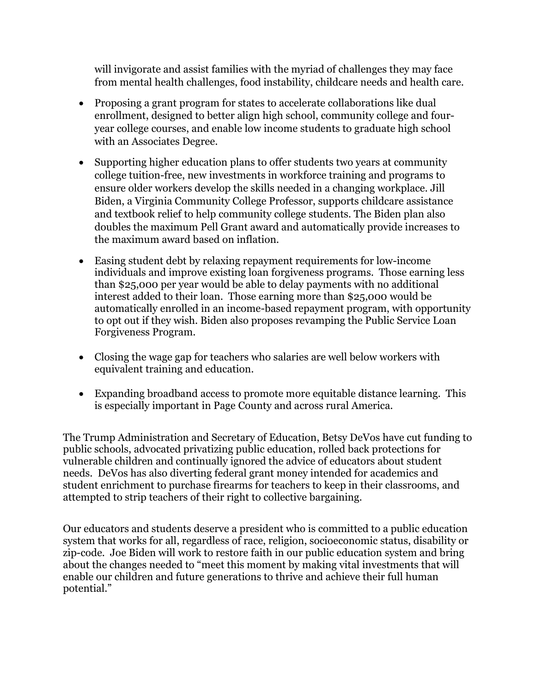will invigorate and assist families with the myriad of challenges they may face from mental health challenges, food instability, childcare needs and health care.

- Proposing a grant program for states to accelerate collaborations like dual enrollment, designed to better align high school, community college and fouryear college courses, and enable low income students to graduate high school with an Associates Degree.
- Supporting higher education plans to offer students two years at community college tuition-free, new investments in workforce training and programs to ensure older workers develop the skills needed in a changing workplace. Jill Biden, a Virginia Community College Professor, supports childcare assistance and textbook relief to help community college students. The Biden plan also doubles the maximum Pell Grant award and automatically provide increases to the maximum award based on inflation.
- Easing student debt by relaxing repayment requirements for low-income individuals and improve existing loan forgiveness programs. Those earning less than \$25,000 per year would be able to delay payments with no additional interest added to their loan. Those earning more than \$25,000 would be automatically enrolled in an income-based repayment program, with opportunity to opt out if they wish. Biden also proposes revamping the Public Service Loan Forgiveness Program.
- Closing the wage gap for teachers who salaries are well below workers with equivalent training and education.
- Expanding broadband access to promote more equitable distance learning. This is especially important in Page County and across rural America.

The Trump Administration and Secretary of Education, Betsy DeVos have cut funding to public schools, advocated privatizing public education, rolled back protections for vulnerable children and continually ignored the advice of educators about student needs. DeVos has also diverting federal grant money intended for academics and student enrichment to purchase firearms for teachers to keep in their [classrooms,](https://www.nytimes.com/2018/08/23/us/politics/devos-guns-in-schools.html) and attempted to strip teachers of their right to collective bargaining.

Our educators and students deserve a president who is committed to a public education system that works for all, regardless of race, religion, socioeconomic status, disability or zip-code. Joe Biden will work to restore faith in our public education system and bring about the changes needed to "meet this moment by making vital investments that will enable our children and future generations to thrive and achieve their full human potential."